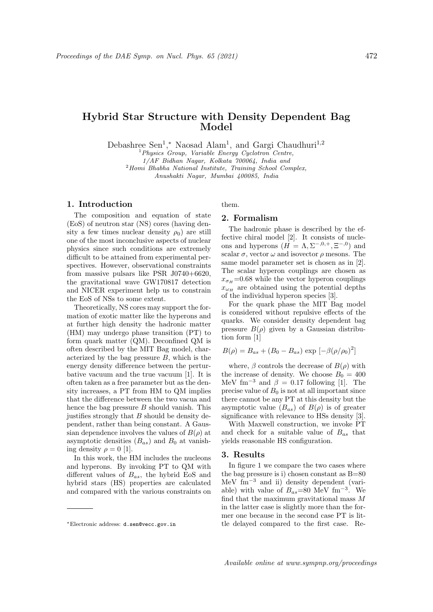## Hybrid Star Structure with Density Dependent Bag Model

Debashree Sen<sup>1</sup>,\* Naosad Alam<sup>1</sup>, and Gargi Chaudhuri<sup>1,2</sup>

<sup>1</sup>Physics Group, Variable Energy Cyclotron Centre,

1/AF Bidhan Nagar, Kolkata 700064, India and

 $2$ Homi Bhabha National Institute, Training School Complex,

Anushakti Nagar, Mumbai 400085, India

### 1. Introduction

The composition and equation of state (EoS) of neutron star (NS) cores (having density a few times nuclear density  $\rho_0$  are still one of the most inconclusive aspects of nuclear physics since such conditions are extremely difficult to be attained from experimental perspectives. However, observational constraints from massive pulsars like PSR J0740+6620, the gravitational wave GW170817 detection and NICER experiment help us to constrain the EoS of NSs to some extent.

Theoretically, NS cores may support the formation of exotic matter like the hyperons and at further high density the hadronic matter (HM) may undergo phase transition (PT) to form quark matter (QM). Deconfined QM is often described by the MIT Bag model, characterized by the bag pressure  $B$ , which is the energy density difference between the perturbative vacuum and the true vacuum [1]. It is often taken as a free parameter but as the density increases, a PT from HM to QM implies that the difference between the two vacua and hence the bag pressure  $B$  should vanish. This justifies strongly that  $B$  should be density dependent, rather than being constant. A Gaussian dependence involves the values of  $B(\rho)$  at asymptotic densities  $(B_{as})$  and  $B_0$  at vanishing density  $\rho = 0$  [1].

In this work, the HM includes the nucleons and hyperons. By invoking PT to QM with different values of  $B_{as}$ , the hybrid EoS and hybrid stars (HS) properties are calculated and compared with the various constraints on

# them.

## 2. Formalism

The hadronic phase is described by the effective chiral model [2]. It consists of nucleons and hyperons  $(H = \Lambda, \Sigma^{-,0,+}, \Xi^{-,0})$  and scalar  $\sigma$ , vector  $\omega$  and isovector  $\rho$  mesons. The same model parameter set is chosen as in [2]. The scalar hyperon couplings are chosen as  $x_{\sigma} = 0.68$  while the vector hyperon couplings  $x_{\omega_H}$  are obtained using the potential depths of the individual hyperon species [3].

For the quark phase the MIT Bag model is considered without repulsive effects of the quarks. We consider density dependent bag pressure  $B(\rho)$  given by a Gaussian distribution form [1]

$$
B(\rho) = B_{as} + (B_0 - B_{as}) \exp[-\beta(\rho/\rho_0)^2]
$$

where,  $\beta$  controls the decrease of  $B(\rho)$  with the increase of density. We choose  $B_0 = 400$ MeV fm<sup>-3</sup> and  $\beta = 0.17$  following [1]. The precise value of  $B_0$  is not at all important since there cannot be any PT at this density but the asymptotic value  $(B_{as})$  of  $B(\rho)$  is of greater significance with relevance to HSs density [3].

With Maxwell construction, we invoke PT and check for a suitable value of  $B_{as}$  that yields reasonable HS configuration.

#### 3. Results

In figure 1 we compare the two cases where the bag pressure is i) chosen constant as  $B=80$ MeV  $\text{fm}^{-3}$  and ii) density dependent (variable) with value of  $B_{as} = 80$  MeV fm<sup>-3</sup>. We find that the maximum gravitational mass M in the latter case is slightly more than the former one because in the second case PT is little delayed compared to the first case. Re-

<sup>∗</sup>Electronic address: d.sen@vecc.gov.in